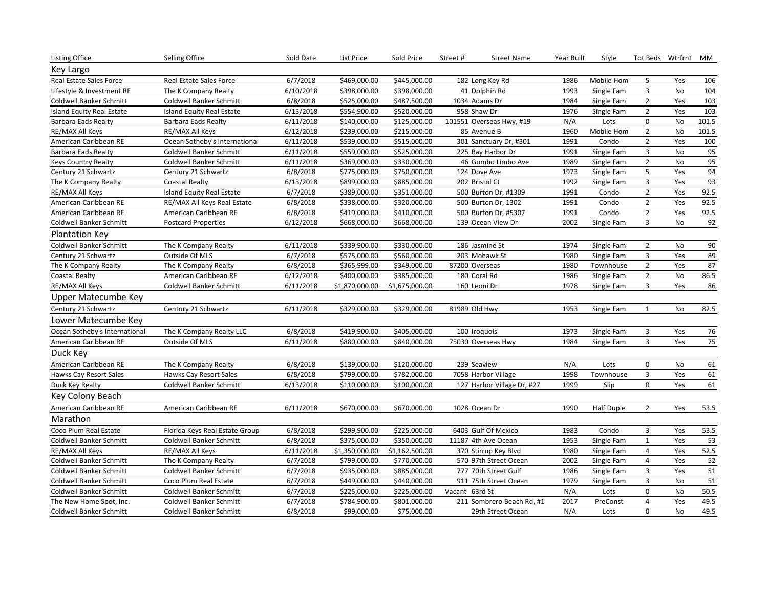| <b>Listing Office</b>          | Selling Office                   | Sold Date | List Price     | Sold Price     | Street#                   | <b>Street Name</b>         | Year Built | Style             |                | Tot Beds Wtrfrnt MM |                 |
|--------------------------------|----------------------------------|-----------|----------------|----------------|---------------------------|----------------------------|------------|-------------------|----------------|---------------------|-----------------|
| Key Largo                      |                                  |           |                |                |                           |                            |            |                   |                |                     |                 |
| Real Estate Sales Force        | Real Estate Sales Force          | 6/7/2018  | \$469,000.00   | \$445,000.00   |                           | 182 Long Key Rd            | 1986       | Mobile Hom        | 5              | Yes                 | 106             |
| Lifestyle & Investment RE      | The K Company Realty             | 6/10/2018 | \$398,000.00   | \$398,000.00   | 41 Dolphin Rd             |                            | 1993       | Single Fam        | 3              | No                  | 104             |
| <b>Coldwell Banker Schmitt</b> | <b>Coldwell Banker Schmitt</b>   | 6/8/2018  | \$525,000.00   | \$487,500.00   | 1034 Adams Dr             |                            | 1984       | Single Fam        | $\overline{2}$ | Yes                 | 103             |
| Island Equity Real Estate      | <b>Island Equity Real Estate</b> | 6/13/2018 | \$554,900.00   | \$520,000.00   | 958 Shaw Dr               |                            | 1976       | Single Fam        | $\overline{2}$ | Yes                 | 103             |
| Barbara Eads Realty            | <b>Barbara Eads Realty</b>       | 6/11/2018 | \$140,000.00   | \$125,000.00   | 101551 Overseas Hwy, #19  |                            | N/A        | Lots              | $\mathbf 0$    | <b>No</b>           | 101.5           |
| RE/MAX All Keys                | RE/MAX All Keys                  | 6/12/2018 | \$239,000.00   | \$215,000.00   | 85 Avenue B               |                            | 1960       | Mobile Hom        | $\overline{2}$ | No                  | 101.5           |
| American Caribbean RE          | Ocean Sotheby's International    | 6/11/2018 | \$539,000.00   | \$515,000.00   | 301 Sanctuary Dr, #301    |                            | 1991       | Condo             | $\overline{2}$ | Yes                 | 100             |
| <b>Barbara Eads Realty</b>     | Coldwell Banker Schmitt          | 6/11/2018 | \$559,000.00   | \$525,000.00   | 225 Bay Harbor Dr         |                            | 1991       | Single Fam        | 3              | No                  | 95              |
| <b>Keys Country Realty</b>     | Coldwell Banker Schmitt          | 6/11/2018 | \$369,000.00   | \$330,000.00   | 46 Gumbo Limbo Ave        |                            | 1989       | Single Fam        | $\overline{2}$ | No                  | 95              |
| Century 21 Schwartz            | Century 21 Schwartz              | 6/8/2018  | \$775,000.00   | \$750,000.00   | 124 Dove Ave              |                            | 1973       | Single Fam        | 5              | Yes                 | 94              |
| The K Company Realty           | <b>Coastal Realty</b>            | 6/13/2018 | \$899,000.00   | \$885,000.00   | 202 Bristol Ct            |                            | 1992       | Single Fam        | 3              | Yes                 | 93              |
| RE/MAX All Keys                | <b>Island Equity Real Estate</b> | 6/7/2018  | \$389,000.00   | \$351,000.00   | 500 Burton Dr, #1309      |                            | 1991       | Condo             | $\overline{2}$ | Yes                 | 92.5            |
| American Caribbean RE          | RE/MAX All Keys Real Estate      | 6/8/2018  | \$338,000.00   | \$320,000.00   |                           | 500 Burton Dr, 1302        | 1991       | Condo             | $\overline{2}$ | Yes                 | 92.5            |
| American Caribbean RE          | American Caribbean RE            | 6/8/2018  | \$419,000.00   | \$410,000.00   | 500 Burton Dr, #5307      |                            | 1991       | Condo             | $\overline{2}$ | Yes                 | 92.5            |
| Coldwell Banker Schmitt        | <b>Postcard Properties</b>       | 6/12/2018 | \$668,000.00   | \$668,000.00   | 139 Ocean View Dr         |                            | 2002       | Single Fam        | 3              | No                  | 92              |
| Plantation Key                 |                                  |           |                |                |                           |                            |            |                   |                |                     |                 |
| Coldwell Banker Schmitt        | The K Company Realty             | 6/11/2018 | \$339,900.00   | \$330,000.00   | 186 Jasmine St            |                            | 1974       | Single Fam        | $\overline{2}$ | No                  | 90              |
| Century 21 Schwartz            | Outside Of MLS                   | 6/7/2018  | \$575,000.00   | \$560,000.00   |                           | 203 Mohawk St              | 1980       | Single Fam        | 3              | Yes                 | 89              |
| The K Company Realty           | The K Company Realty             | 6/8/2018  | \$365,999.00   | \$349,000.00   | 87200 Overseas            |                            | 1980       | Townhouse         | $\overline{2}$ | Yes                 | 87              |
| <b>Coastal Realty</b>          | American Caribbean RE            | 6/12/2018 | \$400,000.00   | \$385,000.00   | 180 Coral Rd              |                            | 1986       | Single Fam        | $\overline{2}$ | No                  | 86.5            |
| RE/MAX All Keys                | <b>Coldwell Banker Schmitt</b>   | 6/11/2018 | \$1,870,000.00 | \$1,675,000.00 | 160 Leoni Dr              |                            | 1978       | Single Fam        | 3              | Yes                 | 86              |
| Upper Matecumbe Key            |                                  |           |                |                |                           |                            |            |                   |                |                     |                 |
| Century 21 Schwartz            | Century 21 Schwartz              | 6/11/2018 | \$329,000.00   | \$329,000.00   | 81989 Old Hwy             |                            | 1953       | Single Fam        | $\mathbf{1}$   | <b>No</b>           | 82.5            |
| Lower Matecumbe Key            |                                  |           |                |                |                           |                            |            |                   |                |                     |                 |
| Ocean Sotheby's International  | The K Company Realty LLC         | 6/8/2018  | \$419,900.00   | \$405,000.00   | 100 Iroquois              |                            | 1973       | Single Fam        | 3              | Yes                 | 76              |
| American Caribbean RE          | Outside Of MLS                   | 6/11/2018 | \$880,000.00   | \$840,000.00   |                           | 75030 Overseas Hwy         | 1984       | Single Fam        | $\overline{3}$ | Yes                 | 75              |
| Duck Key                       |                                  |           |                |                |                           |                            |            |                   |                |                     |                 |
| American Caribbean RE          | The K Company Realty             | 6/8/2018  | \$139,000.00   | \$120,000.00   | 239 Seaview               |                            | N/A        | Lots              | 0              | No                  | 61              |
| Hawks Cay Resort Sales         | Hawks Cay Resort Sales           | 6/8/2018  | \$799,000.00   | \$782,000.00   |                           | 7058 Harbor Village        | 1998       | Townhouse         | 3              | Yes                 | 61              |
| Duck Key Realty                | Coldwell Banker Schmitt          | 6/13/2018 | \$110,000.00   | \$100,000.00   |                           | 127 Harbor Village Dr, #27 | 1999       | Slip              | $\Omega$       | Yes                 | 61              |
| Key Colony Beach               |                                  |           |                |                |                           |                            |            |                   |                |                     |                 |
| American Caribbean RE          | American Caribbean RE            | 6/11/2018 | \$670,000.00   | \$670,000.00   | 1028 Ocean Dr             |                            | 1990       | <b>Half Duple</b> | $\overline{2}$ | Yes                 | 53.5            |
| Marathon                       |                                  |           |                |                |                           |                            |            |                   |                |                     |                 |
| Coco Plum Real Estate          | Florida Keys Real Estate Group   | 6/8/2018  | \$299,900.00   | \$225,000.00   |                           | 6403 Gulf Of Mexico        | 1983       | Condo             | 3              | Yes                 | 53.5            |
| Coldwell Banker Schmitt        | Coldwell Banker Schmitt          | 6/8/2018  | \$375,000.00   | \$350,000.00   |                           | 11187 4th Ave Ocean        | 1953       | Single Fam        | $\mathbf{1}$   | Yes                 | 53              |
| RE/MAX All Keys                | RE/MAX All Keys                  | 6/11/2018 | \$1,350,000.00 | \$1,162,500.00 |                           | 370 Stirrup Key Blvd       | 1980       | Single Fam        | 4              | Yes                 | 52.5            |
| Coldwell Banker Schmitt        | The K Company Realty             | 6/7/2018  | \$799,000.00   | \$770,000.00   |                           | 570 97th Street Ocean      | 2002       | Single Fam        | 4              | Yes                 | 52              |
| Coldwell Banker Schmitt        | Coldwell Banker Schmitt          | 6/7/2018  | \$935,000.00   | \$885,000.00   | 777 70th Street Gulf      |                            | 1986       | Single Fam        | 3              | Yes                 | $\overline{51}$ |
| Coldwell Banker Schmitt        | Coco Plum Real Estate            | 6/7/2018  | \$449,000.00   | \$440,000.00   |                           | 911 75th Street Ocean      | 1979       | Single Fam        | 3              | No                  | 51              |
| Coldwell Banker Schmitt        | Coldwell Banker Schmitt          | 6/7/2018  | \$225,000.00   | \$225,000.00   | Vacant 63rd St            |                            | N/A        | Lots              | $\mathbf 0$    | No                  | 50.5            |
| The New Home Spot, Inc.        | Coldwell Banker Schmitt          | 6/7/2018  | \$784,900.00   | \$801,000.00   | 211 Sombrero Beach Rd, #1 |                            | 2017       | PreConst          | 4              | Yes                 | 49.5            |
| Coldwell Banker Schmitt        | <b>Coldwell Banker Schmitt</b>   | 6/8/2018  | \$99,000.00    | \$75,000.00    |                           | 29th Street Ocean          | N/A        | Lots              | $\Omega$       | <b>No</b>           | 49.5            |